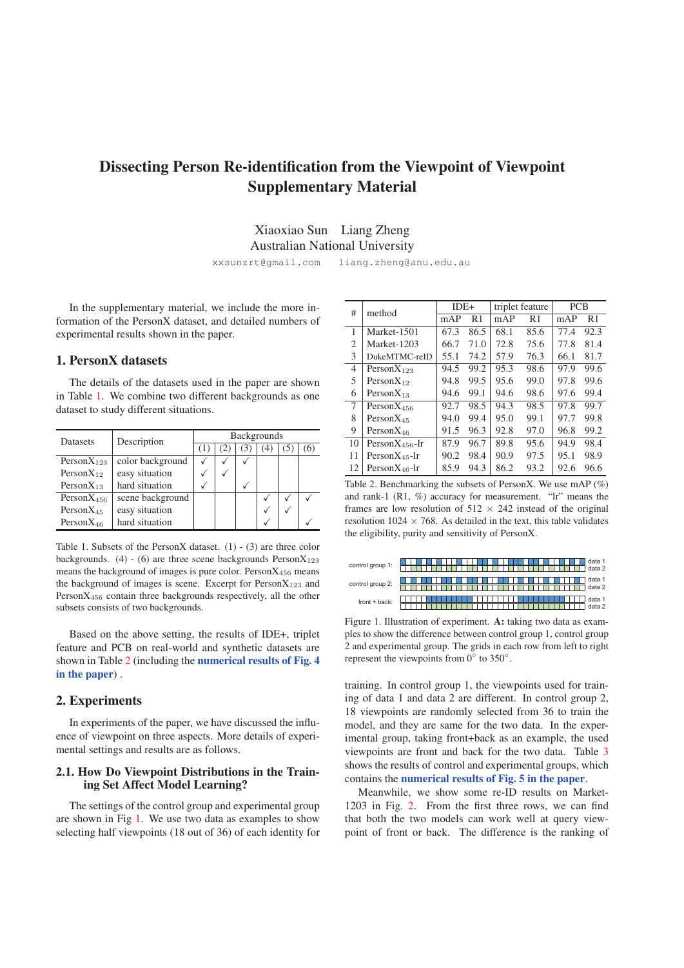# Dissecting Person Re-identification from the Viewpoint of Viewpoint Supplementary Material

## Xiaoxiao Sun Liang Zheng Australian National University

xxsunzrt@gmail.com liang.zheng@anu.edu.au

In the supplementary material, we include the more information of the PersonX dataset, and detailed numbers of experimental results shown in the paper.

### 1. PersonX datasets

The details of the datasets used in the paper are shown in Table 1. We combine two different backgrounds as one dataset to study different situations.

| Datasets         | Description      | <b>Backgrounds</b> |  |                |   |  |     |  |  |  |
|------------------|------------------|--------------------|--|----------------|---|--|-----|--|--|--|
|                  |                  | ч.                 |  | $\mathfrak{I}$ |   |  | (6) |  |  |  |
| Person $X_{123}$ | color background |                    |  |                |   |  |     |  |  |  |
| Person $X_{12}$  | easy situation   |                    |  |                |   |  |     |  |  |  |
| Person $X_{13}$  | hard situation   |                    |  |                |   |  |     |  |  |  |
| Person $X_{456}$ | scene background |                    |  |                |   |  |     |  |  |  |
| Person $X_{45}$  | easy situation   |                    |  |                | V |  |     |  |  |  |
| Person $X_{46}$  | hard situation   |                    |  |                |   |  |     |  |  |  |

Table 1. Subsets of the PersonX dataset.  $(1) - (3)$  are three color backgrounds. (4) - (6) are three scene backgrounds  $PersonX_{123}$ means the background of images is pure color. Person $X_{456}$  means the background of images is scene. Excerpt for  $PersonX_{123}$  and PersonX<sup>456</sup> contain three backgrounds respectively, all the other subsets consists of two backgrounds.

Based on the above setting, the results of IDE+, triplet feature and PCB on real-world and synthetic datasets are shown in Table 2 (including the numerical results of Fig. 4 in the paper) .

#### 2. Experiments

In experiments of the paper, we have discussed the influence of viewpoint on three aspects. More details of experimental settings and results are as follows.

#### 2.1. How Do Viewpoint Distributions in the Training Set Affect Model Learning?

The settings of the control group and experimental group are shown in Fig 1. We use two data as examples to show selecting half viewpoints (18 out of 36) of each identity for

| #  | method               | $IDE+$ |      |      | triplet feature | <b>PCB</b> |      |  |
|----|----------------------|--------|------|------|-----------------|------------|------|--|
|    |                      | mAP    | R1   | mAP  | R <sub>1</sub>  | mAP        | R1   |  |
| 1  | Market-1501          | 67.3   | 86.5 | 68.1 | 85.6            | 77.4       | 92.3 |  |
| 2  | Market-1203          | 66.7   | 71.0 | 72.8 | 75.6            | 77.8       | 81.4 |  |
| 3  | DukeMTMC-reID        | 55.1   | 74.2 | 57.9 | 76.3            | 66.1       | 81.7 |  |
| 4  | Person $X_{123}$     | 94.5   | 99.2 | 95.3 | 98.6            | 97.9       | 99.6 |  |
| 5  | Person $X_{12}$      | 94.8   | 99.5 | 95.6 | 99.0            | 97.8       | 99.6 |  |
| 6  | Person $X_{13}$      | 94.6   | 99.1 | 94.6 | 98.6            | 97.6       | 99.4 |  |
| 7  | Person $X_{456}$     | 92.7   | 98.5 | 94.3 | 98.5            | 97.8       | 99.7 |  |
| 8  | $PersonX_{45}$       | 94.0   | 99.4 | 95.0 | 99.1            | 97.7       | 99.8 |  |
| 9  | Person $X_{46}$      | 91.5   | 96.3 | 92.8 | 97.0            | 96.8       | 99.2 |  |
| 10 | Person $X_{456}$ -lr | 87.9   | 96.7 | 89.8 | 95.6            | 94.9       | 98.4 |  |
| 11 | $PersonX_{45}$ -lr   | 90.2   | 98.4 | 90.9 | 97.5            | 95.1       | 98.9 |  |
| 12 | Person $X_{46}$ -lr  | 85.9   | 94.3 | 86.2 | 93.2            | 92.6       | 96.6 |  |

Table 2. Benchmarking the subsets of PersonX. We use mAP (%) and rank-1 (R1, %) accuracy for measurement. "lr" means the frames are low resolution of  $512 \times 242$  instead of the original resolution  $1024 \times 768$ . As detailed in the text, this table validates the eligibility, purity and sensitivity of PersonX.

| control group 1: | data 1<br>data 2 |
|------------------|------------------|
| control group 2: | data 1<br>data 2 |
| $front + back:$  | data 1<br>data 2 |

Figure 1. Illustration of experiment. A: taking two data as examples to show the difference between control group 1, control group 2 and experimental group. The grids in each row from left to right represent the viewpoints from  $0°$  to  $350°$ .

training. In control group 1, the viewpoints used for training of data 1 and data 2 are different. In control group 2, 18 viewpoints are randomly selected from 36 to train the model, and they are same for the two data. In the experimental group, taking front+back as an example, the used viewpoints are front and back for the two data. Table 3 shows the results of control and experimental groups, which contains the numerical results of Fig. 5 in the paper.

Meanwhile, we show some re-ID results on Market-1203 in Fig. 2. From the first three rows, we can find that both the two models can work well at query viewpoint of front or back. The difference is the ranking of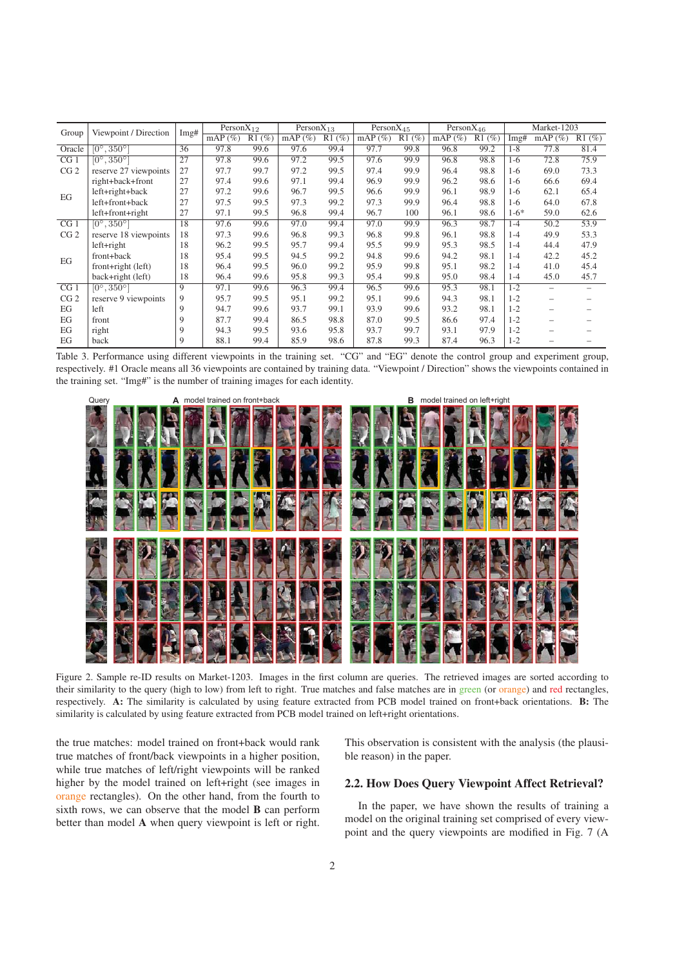| Group           | Viewpoint / Direction      | Img# | Person $X_{12}$ |       | Person $X_{13}$ |       | $PersonX_{45}$ |       | Person $X_{46}$ |       |         | Market-1203              |                          |
|-----------------|----------------------------|------|-----------------|-------|-----------------|-------|----------------|-------|-----------------|-------|---------|--------------------------|--------------------------|
|                 |                            |      | mAP $(\%)$      | R1(%) | $mAP(\%)$       | R1(%) | mAP $(\%)$     | R1(%) | $mAP(\%)$       | R1(%) | Img#    | mAP $(\%)$               | R1(%)                    |
| Oracle          | $[0^\circ, 350^\circ]$     | 36   | 97.8            | 99.6  | 97.6            | 99.4  | 97.7           | 99.8  | 96.8            | 99.2  | $1 - 8$ | 77.8                     | 81.4                     |
| CG <sub>1</sub> | $[0^{\circ}, 350^{\circ}]$ | 27   | 97.8            | 99.6  | 97.2            | 99.5  | 97.6           | 99.9  | 96.8            | 98.8  | $1-6$   | 72.8                     | 75.9                     |
| CG <sub>2</sub> | reserve 27 viewpoints      | 27   | 97.7            | 99.7  | 97.2            | 99.5  | 97.4           | 99.9  | 96.4            | 98.8  | $1-6$   | 69.0                     | 73.3                     |
|                 | right+back+front           | 27   | 97.4            | 99.6  | 97.1            | 99.4  | 96.9           | 99.9  | 96.2            | 98.6  | 1-6     | 66.6                     | 69.4                     |
| EG              | left+right+back            | 27   | 97.2            | 99.6  | 96.7            | 99.5  | 96.6           | 99.9  | 96.1            | 98.9  | $1-6$   | 62.1                     | 65.4                     |
|                 | left+front+back            | 27   | 97.5            | 99.5  | 97.3            | 99.2  | 97.3           | 99.9  | 96.4            | 98.8  | 1-6     | 64.0                     | 67.8                     |
|                 | left+front+right           | 27   | 97.1            | 99.5  | 96.8            | 99.4  | 96.7           | 100   | 96.1            | 98.6  | $1-6*$  | 59.0                     | 62.6                     |
| CG <sub>1</sub> | $[0^{\circ}, 350^{\circ}]$ | 18   | 97.6            | 99.6  | 97.0            | 99.4  | 97.0           | 99.9  | 96.3            | 98.7  | $1 - 4$ | 50.2                     | 53.9                     |
| CG <sub>2</sub> | reserve 18 viewpoints      | 18   | 97.3            | 99.6  | 96.8            | 99.3  | 96.8           | 99.8  | 96.1            | 98.8  | $1 - 4$ | 49.9                     | 53.3                     |
|                 | $left+right$               | 18   | 96.2            | 99.5  | 95.7            | 99.4  | 95.5           | 99.9  | 95.3            | 98.5  | $1 - 4$ | 44.4                     | 47.9                     |
| EG              | front+back                 | 18   | 95.4            | 99.5  | 94.5            | 99.2  | 94.8           | 99.6  | 94.2            | 98.1  | $1 - 4$ | 42.2                     | 45.2                     |
|                 | front+right (left)         | 18   | 96.4            | 99.5  | 96.0            | 99.2  | 95.9           | 99.8  | 95.1            | 98.2  | $1 - 4$ | 41.0                     | 45.4                     |
|                 | back+right (left)          | 18   | 96.4            | 99.6  | 95.8            | 99.3  | 95.4           | 99.8  | 95.0            | 98.4  | $1-4$   | 45.0                     | 45.7                     |
| CG <sub>1</sub> | $[0^\circ, 350^\circ]$     | 9    | 97.1            | 99.6  | 96.3            | 99.4  | 96.5           | 99.6  | 95.3            | 98.1  | $1 - 2$ | -                        | $\overline{\phantom{0}}$ |
| CG <sub>2</sub> | reserve 9 viewpoints       | 9    | 95.7            | 99.5  | 95.1            | 99.2  | 95.1           | 99.6  | 94.3            | 98.1  | $1 - 2$ |                          |                          |
| EG              | left                       | 9    | 94.7            | 99.6  | 93.7            | 99.1  | 93.9           | 99.6  | 93.2            | 98.1  | $1 - 2$ | $\overline{\phantom{0}}$ |                          |
| EG              | front                      | 9    | 87.7            | 99.4  | 86.5            | 98.8  | 87.0           | 99.5  | 86.6            | 97.4  | $1 - 2$ |                          |                          |
| EG              | right                      | 9    | 94.3            | 99.5  | 93.6            | 95.8  | 93.7           | 99.7  | 93.1            | 97.9  | $1 - 2$ |                          |                          |
| EG              | back                       | 9    | 88.1            | 99.4  | 85.9            | 98.6  | 87.8           | 99.3  | 87.4            | 96.3  | $1 - 2$ |                          |                          |

Table 3. Performance using different viewpoints in the training set. "CG" and "EG" denote the control group and experiment group, respectively. #1 Oracle means all 36 viewpoints are contained by training data. "Viewpoint / Direction" shows the viewpoints contained in the training set. "Img#" is the number of training images for each identity.



Figure 2. Sample re-ID results on Market-1203. Images in the first column are queries. The retrieved images are sorted according to their similarity to the query (high to low) from left to right. True matches and false matches are in green (or orange) and red rectangles, respectively. A: The similarity is calculated by using feature extracted from PCB model trained on front+back orientations. B: The similarity is calculated by using feature extracted from PCB model trained on left+right orientations.

the true matches: model trained on front+back would rank true matches of front/back viewpoints in a higher position, while true matches of left/right viewpoints will be ranked higher by the model trained on left+right (see images in orange rectangles). On the other hand, from the fourth to sixth rows, we can observe that the model **B** can perform better than model A when query viewpoint is left or right. This observation is consistent with the analysis (the plausible reason) in the paper.

#### 2.2. How Does Query Viewpoint Affect Retrieval?

In the paper, we have shown the results of training a model on the original training set comprised of every viewpoint and the query viewpoints are modified in Fig. 7 (A